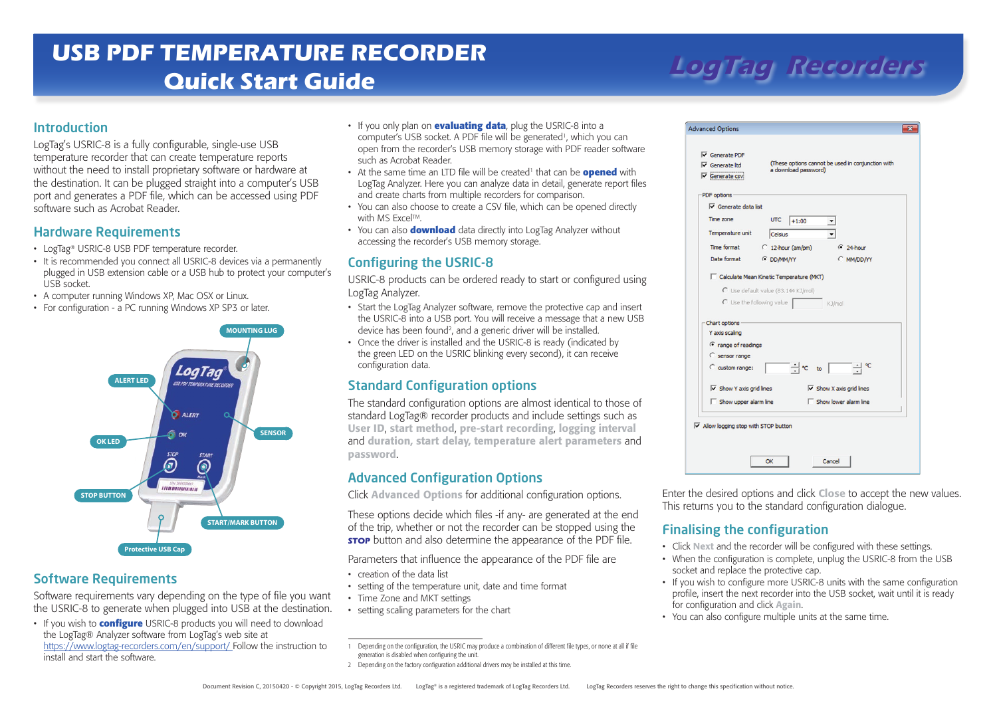# **LogTag Recorders USB PDF TEMPERATURE RECORDER Quick Start Guide**

### Introduction

LogTag's USRIC-8 is a fully configurable, single-use USB temperature recorder that can create temperature reports without the need to install proprietary software or hardware at the destination. It can be plugged straight into a computer's USB port and generates a PDF file, which can be accessed using PDF software such as Acrobat Reader.

#### Hardware Requirements

- LogTag® USRIC-8 USB PDF temperature recorder.
- It is recommended you connect all USRIC-8 devices via a permanently plugged in USB extension cable or a USB hub to protect your computer's USB socket.
- A computer running Windows XP, Mac OSX or Linux.
- For configuration a PC running Windows XP SP3 or later.



### Software Requirements

Software requirements vary depending on the type of file you want the USRIC-8 to generate when plugged into USB at the destination.

• If you wish to **configure** USRIC-8 products you will need to download the LogTag® Analyzer software from LogTag's web site at https://www.logtag-recorders.com/en/support/ Follow the instruction to install and start the software.

- • If you only plan on **evaluating data**, plug the USRIC-8 into a computer's USB socket. A PDF file will be generated<sup>1</sup>, which you can open from the recorder's USB memory storage with PDF reader software such as Acrobat Reader.
- At the same time an LTD file will be created<sup>1</sup> that can be **opened** with LogTag Analyzer. Here you can analyze data in detail, generate report files and create charts from multiple recorders for comparison.
- You can also choose to create a CSV file, which can be opened directly with MS Excel™.
- You can also **download** data directly into LogTag Analyzer without accessing the recorder's USB memory storage.

# Configuring the USRIC-8

USRIC-8 products can be ordered ready to start or configured using LogTag Analyzer.

- Start the LogTag Analyzer software, remove the protective cap and insert the USRIC-8 into a USB port. You will receive a message that a new USB device has been found<sup>2</sup>, and a generic driver will be installed.
- Once the driver is installed and the USRIC-8 is ready (indicated by the green LED on the USRIC blinking every second), it can receive configuration data.

# Standard Configuration options

The standard configuration options are almost identical to those of standard LogTag® recorder products and include settings such as User ID, start method, pre-start recording, logging interval and duration, start delay, temperature alert parameters and password.

### Advanced Configuration Options

Click Advanced Options for additional configuration options.

These options decide which files -if any- are generated at the end of the trip, whether or not the recorder can be stopped using the **STOP** button and also determine the appearance of the PDF file.

Parameters that influence the appearance of the PDF file are

- • creation of the data list
- setting of the temperature unit, date and time format
- Time Zone and MKT settings
- • setting scaling parameters for the chart

2 Depending on the factory configuration additional drivers may be installed at this time.

| $\overline{\mathsf{v}}$ Generate Itd<br>$\triangledown$ Generate csv | (These options cannot be used in conjunction with<br>a download password) |                         |
|----------------------------------------------------------------------|---------------------------------------------------------------------------|-------------------------|
| PDF options<br>$\nabla$ Generate data list                           |                                                                           |                         |
| Time zone                                                            | <b>UTC</b><br>$+1:00$                                                     |                         |
| Temperature unit                                                     | Celsius                                                                   |                         |
| Time format                                                          | $\bigcirc$ 12-hour (am/pm)                                                | $624$ hour              |
| Date format                                                          | <b>E</b> DD/MM/YY                                                         | C MM/DD/YY              |
| Chart options                                                        |                                                                           |                         |
| Y axis scaling                                                       |                                                                           |                         |
| <sup>6</sup> range of readings                                       |                                                                           |                         |
| C sensor range                                                       |                                                                           |                         |
| C custom range:                                                      | '÷∣ ∘c<br>to                                                              | ٩C                      |
|                                                                      | $\overline{\vee}$ Show X axis grid lines                                  |                         |
| $\overline{\vee}$ Show Y axis grid lines                             |                                                                           | □ Show lower alarm line |
| $\Box$ Show upper alarm line                                         |                                                                           |                         |
| $\overline{\vee}$ Allow logging stop with STOP button                |                                                                           |                         |

Enter the desired options and click Close to accept the new values. This returns you to the standard configuration dialogue.

### Finalising the configuration

- Click Next and the recorder will be configured with these settings.
- When the configuration is complete, unplug the USRIC-8 from the USB socket and replace the protective cap.
- If you wish to configure more USRIC-8 units with the same configuration profile, insert the next recorder into the USB socket, wait until it is ready for configuration and click Again.
- You can also configure multiple units at the same time.

<sup>1</sup> Depending on the configuration, the USRIC may produce a combination of different file types, or none at all if file generation is disabled when configuring the unit.